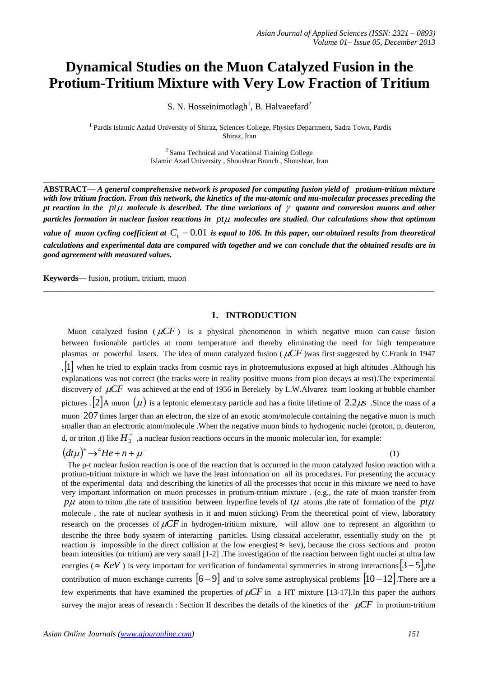# **Dynamical Studies on the Muon Catalyzed Fusion in the Protium-Tritium Mixture with Very Low Fraction of Tritium**

S. N. Hosseinimotlagh<sup>1</sup>, B. Halvaeefard<sup>2</sup>

**1** Pardis Islamic Azdad University of Shiraz, Sciences College, Physics Department, Sadra Town, Pardis Shiraz, Iran

> *2* Sama Technical and Vocational Training College Islamic Azad University , Shoushtar Branch , Shoushtar, Iran

**\_\_\_\_\_\_\_\_\_\_\_\_\_\_\_\_\_\_\_\_\_\_\_\_\_\_\_\_\_\_\_\_\_\_\_\_\_\_\_\_\_\_\_\_\_\_\_\_\_\_\_\_\_\_\_\_\_\_\_\_\_\_\_\_\_\_\_\_\_\_\_\_\_\_\_\_\_\_\_\_\_**

**ABSTRACT—** *A general comprehensive network is proposed for computing fusion yield of protium-tritium mixture with low tritium fraction. From this network, the kinetics of the mu-atomic and mu-molecular processes preceding the*  pt reaction in the  $pt\mu$  molecule is described. The time variations of  $\gamma$  quanta and conversion muons and other  $p$ articles formation in nuclear fusion reactions in  $p$ t $\mu$  molecules are studied. Our calculations show that optimum value of muon cycling coefficient at  $C<sub>t</sub> = 0.01$  is equal to 106. In this paper, our obtained results from theoretical *calculations and experimental data are compared with together and we can conclude that the obtained results are in good agreement with measured values.*

**\_\_\_\_\_\_\_\_\_\_\_\_\_\_\_\_\_\_\_\_\_\_\_\_\_\_\_\_\_\_\_\_\_\_\_\_\_\_\_\_\_\_\_\_\_\_\_\_\_\_\_\_\_\_\_\_\_\_\_\_\_\_\_\_\_\_\_\_\_\_\_\_\_\_\_\_\_\_\_\_\_**

**Keywords—** fusion, protium, tritium, muon

# **1. INTRODUCTION**

Muon catalyzed fusion ( $\mu$ CF) is a physical phenomenon in which negative muon can cause fusion between fusionable particles at room temperature and thereby eliminating the need for high temperature plasmas or powerful lasers. The idea of muon catalyzed fusion ( $\mu$ CF) was first suggested by C.Frank in 1947 ,1 when he tried to explain tracks from cosmic rays in photoemulusions exposed at high altitudes .Although his explanations was not correct (the tracks were in reality positive muons from pion decays at rest).The experimental discovery of  $\mu$ CF was achieved at the end of 1956 in Berekely by L.W.Alvarez team looking at bubble chamber pictures .  $2$  A muon  $(\mu)$  is a leptonic elementary particle and has a finite lifetime of  $2.2\mu s$ . Since the mass of a muon 207 times larger than an electron, the size of an exotic atom/molecule containing the negative muon is much smaller than an electronic atom/molecule .When the negative muon binds to hydrogenic nuclei (proton, p, deuteron, d, or triton ,t) like  $H_2^+$  ,a nuclear fusion reactions occurs in the muonic molecular ion, for example:

$$
(dt\mu)^+ \rightarrow ^4He + n + \mu^-
$$

(1)

 The p-t nuclear fusion reaction is one of the reaction that is occurred in the muon catalyzed fusion reaction with a protium-tritium mixture in which we have the least information on all its procedures. For presenting the accuracy of the experimental data and describing the kinetics of all the processes that occur in this mixture we need to have very important information on muon processes in protium-tritium mixture . (e.g., the rate of muon transfer from  $p\mu$  atom to triton, the rate of transition between hyperfine levels of  $t\mu$  atoms, the rate of formation of the  $pt\mu$ molecule , the rate of nuclear synthesis in it and muon sticking) From the theoretical point of view, laboratory research on the processes of  $\mu CF$  in hydrogen-tritium mixture, will allow one to represent an algorithm to describe the three body system of interacting particles. Using classical accelerator, essentially study on the pt reaction is impossible in the direct collision at the low energies( $\approx$  kev), because the cross sections and proton beam intensities (or tritium) are very small [1-2] .The investigation of the reaction between light nuclei at ultra law energies ( $\approx$  KeV) is very important for verification of fundamental symmetries in strong interactions  $[3-5]$ , the contribution of muon exchange currents  $\begin{bmatrix} 6 & -9 \end{bmatrix}$  and to solve some astrophysical problems  $\begin{bmatrix} 10 & -12 \end{bmatrix}$ . There are a few experiments that have examined the properties of  $\mu CF$  in a HT mixture [13-17]. In this paper the authors survey the major areas of research : Section II describes the details of the kinetics of the  $\mu$ CF in protium-tritium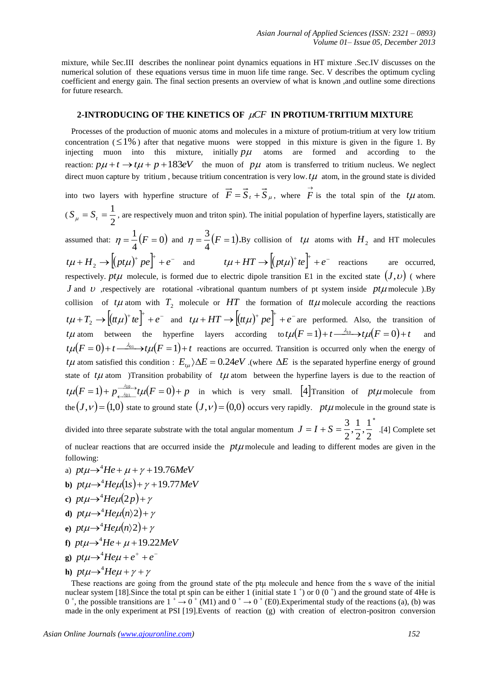mixture, while Sec.III describes the nonlinear point dynamics equations in HT mixture .Sec.IV discusses on the numerical solution of these equations versus time in muon life time range. Sec. V describes the optimum cycling coefficient and energy gain. The final section presents an overview of what is known ,and outline some directions for future research.

# 2-INTRODUCING OF THE KINETICS OF  $\mu CF$  IN PROTIUM-TRITIUM MIXTURE

 Processes of the production of muonic atoms and molecules in a mixture of protium-tritium at very low tritium concentration  $( \leq 1\%)$  after that negative muons were stopped in this mixture is given in the figure 1. By injecting muon into this mixture, initially  $p\mu$  atoms are formed and according to the reaction:  $p\mu + t \rightarrow t\mu + p + 183eV$  the muon of  $p\mu$  atom is transferred to tritium nucleus. We neglect direct muon capture by tritium, because tritium concentration is very low.  $t\mu$  atom, in the ground state is divided into two layers with hyperfine structure of  $\vec{F} = \vec{S}_t + \vec{S}_\mu$ , where  $\vec{F}$  is the total spin of the  $t\mu$  atom.  $(S_{\mu} = S_{t} = \frac{1}{2})$  $S_{\mu} = S_t = \frac{1}{2}$ , are respectively muon and triton spin). The initial population of hyperfine layers, statistically are assumed that:  $\eta = \frac{1}{\epsilon}(F = 0)$ 4  $\eta = \frac{1}{4}(F = 0)$  and  $\eta = \frac{3}{4}(F = 1)$ 4  $\eta = \frac{3}{4}(F=1)$ . By collision of  $t\mu$  atoms with  $H_2$  and HT molecules  $t\mu + H_2 \rightarrow \left[ (pt\mu)^+ \, pe \right]^+ + e^-$  and  $t\mu + HT \rightarrow \left[ (pt\mu)^+ \, te \right]^+ + e^-$  reactions are occurred, respectively. *pt* $\mu$  molecule, is formed due to electric dipole transition E1 in the excited state  $(J, \nu)$  (where *J* and *v* respectively are rotational -vibrational quantum numbers of pt system inside  $pt\mu$  molecule ). By collision of  $t\mu$  atom with  $T_2$  molecule or  $HT$  the formation of  $t\mu$  molecule according the reactions  $t\mu + T_2 \rightarrow \left[ (t\mu\mu)^+ t e \right]^+ + e^-$  and  $t\mu + HT \rightarrow \left[ (t\mu\mu)^+ p e \right]^+ + e^-$  are performed. Also, the transition of *t* $\mu$  atom between the hyperfine layers according to  $t\mu(F=1) + t \xrightarrow{\lambda_{10}} t\mu(F=0) + t$ and  $t\mu(F=0)+t \frac{\lambda_{01}}{F}$  *t*  $\mu(F=1)+t$  reactions are occurred. Transition is occurred only when the energy of *t L* atom satisfied this condition :  $E_{t\mu}$   $\Delta E = 0.24eV$  .(where  $\Delta E$  is the separated hyperfine energy of ground state of  $t\mu$  atom )Transition probability of  $t\mu$  atom between the hyperfine layers is due to the reaction of  $t\mu(F=1)+p\frac{410}{r^2}$   $t\mu(F=0)+p$ 1)+  $p_{\frac{\lambda_{10}}{\lambda_{01}}}^{2}t\mu(F=0)$  $\mu(F=1)+p\frac{\lambda_{10}}{\lambda_{01}}t\mu^{2}$  $\lim_{\lambda_{01}} t \mu(F=0) + p$  in which is very small. [4] Transition of pt $\mu$  molecule from the  $(J, v) = (1,0)$  state to ground state  $(J, v) = (0,0)$  occurs very rapidly. *pt* $\mu$  molecule in the ground state is divided into three separate substrate with the total angular momentum ×  $= I + S =$  $\frac{1}{\cdot}$  $\frac{1}{\cdot}$  $J = I + S = \frac{3}{2}, \frac{1}{2}, \frac{1}{2}^*$ .[4] Complete set

2 2 2 of nuclear reactions that are occurred inside the  $pt\mu$  molecule and leading to different modes are given in the following:

- a)  $pt\mu \rightarrow ^{4}He + \mu + \gamma + 19.76MeV$
- **b**)  $pt\mu \rightarrow^4$ *He* $\mu$ (1*s*) +  $\gamma$  + 19.77*MeV*
- c)  $pt\mu \rightarrow^4$ *He* $\mu(2p) + \gamma$
- **d**)  $pt\mu \rightarrow^4$ *He* $\mu$ (*n*)2)+ $\gamma$
- e)  $pt\mu \rightarrow^4$ *He* $\mu$ (*n*)2)+  $\gamma$
- **f**)  $pt\mu \rightarrow^4$ *He* +  $\mu$  + 19.22*MeV*
- **g**)  $pt\mu \rightarrow^4$ *He* $\mu + e^+ + e^-$
- **h**)  $pt\mu \rightarrow^4$ *He* $\mu + \gamma + \gamma$

These reactions are going from the ground state of the ptu molecule and hence from the s wave of the initial nuclear system [18]. Since the total pt spin can be either 1 (initial state  $1^+$ ) or  $0(0^+)$  and the ground state of 4He is  $0^+$ , the possible transitions are  $1^+ \rightarrow 0^+$  (M1) and  $0^+ \rightarrow 0^+$  (E0). Experimental study of the reactions (a), (b) was made in the only experiment at PSI [19].Events of reaction (g) with creation of electron-positron conversion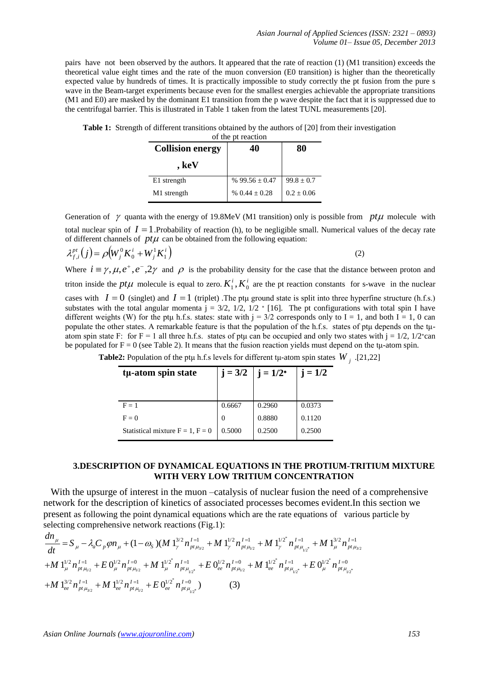pairs have not been observed by the authors. It appeared that the rate of reaction (1) (M1 transition) exceeds the theoretical value eight times and the rate of the muon conversion (E0 transition) is higher than the theoretically expected value by hundreds of times. It is practically impossible to study correctly the pt fusion from the pure s wave in the Beam-target experiments because even for the smallest energies achievable the appropriate transitions (M1 and E0) are masked by the dominant E1 transition from the p wave despite the fact that it is suppressed due to the centrifugal barrier. This is illustrated in Table 1 taken from the latest TUNL measurements [20].

| <b>Collision energy</b> | 40                 | 80             |  |
|-------------------------|--------------------|----------------|--|
| , keV                   |                    |                |  |
| E1 strength             | % $99.56 \pm 0.47$ | $99.8 \pm 0.7$ |  |
| M1 strength             | % $0.44 \pm 0.28$  | $0.2 \pm 0.06$ |  |

**Table 1:** Strength of different transitions obtained by the authors of [20] from their investigation of the pt reaction

Generation of  $\gamma$  quanta with the energy of 19.8MeV (M1 transition) only is possible from  $pt\mu$  molecule with total nuclear spin of  $I = 1$ . Probability of reaction (h), to be negligible small. Numerical values of the decay rate of different channels of  $pt\mu$  can be obtained from the following equation:

$$
\lambda_{f,i}^{pt}(j) = \rho \big(W_j^0 K_0^i + W_j^1 K_1^i\big) \tag{2}
$$

Where  $i \equiv \gamma, \mu, e^+, e^-, 2\gamma$  and  $\rho$  is the probability density for the case that the distance between proton and triton inside the *pt* $\mu$  molecule is equal to zero.  $K_1^i$ ,  $K_0^i$  are the pt reaction constants for s-wave in the nuclear cases with  $I = 0$  (singlet) and  $I = 1$  (triplet). The ptµ ground state is split into three hyperfine structure (h.f.s.) substates with the total angular momenta  $j = 3/2$ ,  $1/2$ ,  $1/2$  \* [16]. The pt configurations with total spin I have different weights (W) for the ptµ h.f.s. states: state with  $j = 3/2$  corresponds only to I = 1, and both I = 1, 0 can populate the other states. A remarkable feature is that the population of the h.f.s. states of ptµ depends on the tµatom spin state F: for F = 1 all three h.f.s. states of ptu can be occupied and only two states with  $j = 1/2$ ,  $1/2$ <sup>\*</sup>can be populated for  $F = 0$  (see Table 2). It means that the fusion reaction yields must depend on the t<sub>k-</sub>atom spin.

| $j = 3/2$ | $j = 1/2^*$ | $j = 1/2$ |
|-----------|-------------|-----------|
| 0.6667    | 0.2960      | 0.0373    |
|           | 0.8880      | 0.1120    |
| 0.5000    | 0.2500      | 0.2500    |
|           |             |           |

**Table2:** Population of the ptµ h.f.s levels for different tµ-atom spin states  $W_j$  .[21,22]

# **3.DESCRIPTION OF DYNAMICAL EQUATIONS IN THE PROTIUM-TRITIUM MIXTURE WITH VERY LOW TRITIUM CONCENTRATION**

With the upsurge of interest in the muon –catalysis of nuclear fusion the need of a comprehensive network for the description of kinetics of associated processes becomes evident.In this section we present as following the point dynamical equations which are the rate equations of various particle by selecting comprehensive network reactions (Fig.1): tions (Fig.1):<br>  $\frac{3}{2}n_{\frac{1}{2}} I_{\frac{1}{2}} = \frac{1}{2}M \frac{1}{2} \frac{1}{2} \frac{1}{n_{\frac{1}{2}} I_{\frac{1}{2}}} + M \frac{1}{2} \frac{1}{2} \frac{1}{2} \frac{1}{n_{\frac{1}{2}} I_{\frac{1}{2}}} + M \frac{1}{2} \frac{1}{2} \frac{1}{n_{\frac{1}{2}} I_{\frac{1}{2}}}$ fork for the description of kinetics of associated processes becomes evident. In the associated processes becomes evident. In the rate and as following the point dynamical equations which are the rate equations of various Is (Fig.1):<br>  $I = 1 + M 1^{1/2} n_{\frac{1}{2} + 1}^{I = 1} + M 1^{1/2^*} n_{\frac{1}{2} + 1}^{I = 1} + M 1^{3/2} n_{\frac{1}{2} + 1}^{I = 1}$ s (Fig.1):<br>  $=$ <sup>1</sup>/<sub>*w*</sub> + *M* 1<sup>*y*</sup><sub>2</sub>*n*<sup>*t*=1</sup>/<sub>*x*</sub> + *M* 1<sup>*y*</sup><sub>2</sub><sup>*n*</sup><sub>*nt<sub>n</sub>t + <i>M* 1<sup>3/2</sup><sub>*n*</sub><sup>*t*=1</sup>/<sub>*x*</sub> + *M* 1<sup>3/2</sup><sub>*n*</sub><sup>*n*<sub>nt*u*</sub></sup></sub>

selecting comprehensive networks reactions (Fig.1):  
\n
$$
\frac{dn_{\mu}}{dt} = S_{\mu} - \lambda_{a}C_{p}\varphi n_{\mu} + (1 - \omega_{s})(M_{\nu}^{3/2}n_{\nu}^{I=1} + M_{\nu}^{1/2}n_{\nu}^{I=1} + M_{\nu}^{1/2^{*}}n_{\nu}^{I=1} + M_{\nu}^{3/2}n_{\nu}^{I=1} + M_{\mu}^{3/2}n_{\nu}^{I=1} + M_{\mu}^{1/2}n_{\nu}^{I=1} + M_{\mu}^{1/2}n_{\nu}^{I=1} + E_{\nu}^{1/2}n_{\nu}^{I=0} + M_{\mu}^{1/2^{*}}n_{\nu}^{I=1} + E_{\nu}^{1/2}n_{\nu}^{I=0} + M_{\nu}^{1/2^{*}}n_{\nu}^{I=0} + M_{\nu}^{1/2^{*}}n_{\nu}^{I=1} + E_{\nu}^{1/2^{*}}n_{\nu}^{I=1} + M_{\nu}^{1/2}n_{\nu}^{I=1} + M_{\nu}^{1/2}n_{\nu}^{I=1} + M_{\nu}^{1/2}n_{\nu}^{I=1} + E_{\nu}^{1/2^{*}}n_{\nu}^{I=0} + M_{\nu}^{1/2}n_{\nu}^{I=1} + E_{\nu}^{1/2}n_{\nu}^{I=0} + M_{\nu}^{1/2}n_{\nu}^{I=0} + M_{\nu}^{1/2}n_{\nu}^{I=0} + M_{\nu}^{1/2}n_{\nu}^{I=0} + M_{\nu}^{1/2}n_{\nu}^{I=0} + M_{\nu}^{1/2}n_{\nu}^{I=0} + M_{\nu}^{1/2}n_{\nu}^{I=0} + M_{\nu}^{1/2}n_{\nu}^{I=0} + M_{\nu}^{1/2}n_{\nu}^{I=0} + M_{\nu}^{1/2}n_{\nu}^{I=0} + M_{\nu}^{1/2}n_{\nu}^{I=0} + M_{\nu}^{1/2}n_{\nu}^{I=0} + M_{\nu}^{1/2}n_{\nu}^{I=0} + M_{\nu}^{1/2}n_{\nu}^{I=0} + M_{\nu}^{1/2}n_{\nu}^{I=
$$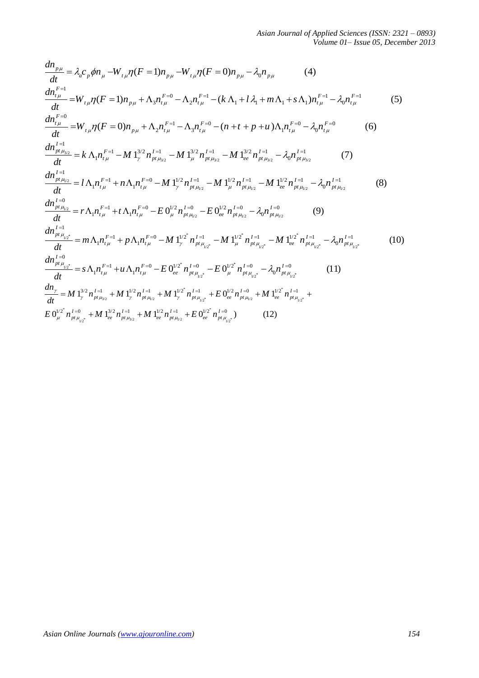$$
\frac{dn_{p\mu}}{dt} = \lambda_{a}c_{p}\phi n_{\mu} - W_{\mu\mu}\eta(F=1)n_{p\mu} - W_{\mu\mu}\eta(F=0)n_{p\mu} - \lambda_{0}n_{p\mu} \qquad (4)
$$
\n
$$
\frac{dn_{\mu}^{F=1}}{dt} = W_{\mu\mu}\eta(F=1)n_{p\mu} + \Lambda_{3}n_{\mu}^{F=0} - \Lambda_{2}n_{\mu}^{F=1} - (k\Lambda_{1} + l\lambda_{1} + m\Lambda_{1} + s\Lambda_{1})n_{\mu}^{F=1} - \lambda_{0}n_{\mu}^{F=1} \qquad (5)
$$
\n
$$
\frac{dn_{\mu}^{F=0}}{dt} = W_{\mu\mu}\eta(F=0)n_{p\mu} + \Lambda_{2}n_{\mu}^{F=1} - \Lambda_{3}n_{\mu}^{F=0} - (n+t+p+u)\Lambda_{1}n_{\mu}^{F=0} - \lambda_{0}n_{\mu}^{F=0} \qquad (6)
$$
\n
$$
\frac{dn_{\mu}^{I=1}}{dt} = k\Lambda_{1}n_{\mu}^{F=1} - M\,1_{\nu}^{3/2}n_{\mu}^{I=1} - M\,1_{\mu}^{3/2}n_{\mu}^{I=1} - M\,1_{\mu}^{3/2}n_{\mu}^{I=1} - M\,1_{\nu}^{3/2}n_{\mu}^{I=1} - M\,1_{\nu}^{3/2}n_{\mu}^{I=1} - M\,1_{\nu}^{3/2}n_{\mu}^{I=1} - M\,1_{\nu}^{3/2}n_{\mu}^{I=1} - M\,1_{\nu}^{3/2}n_{\mu}^{I=1} - M\,1_{\nu}^{3/2}n_{\mu}^{I=1} - M\,1_{\nu}^{3/2}n_{\mu}^{I=1} - M\,1_{\nu}^{3/2}n_{\mu}^{I=1} - M\,1_{\nu}^{3/2}n_{\mu}^{I=1} - M\,1_{\nu}^{3/2}n_{\mu}^{I=1} - M\,1_{\nu}^{3/2}n_{\mu}^{I=1} - M\,1_{\nu}^{3/2}n_{\mu}^{I=1} - M\,1_{\nu}^{3/2}n_{\mu}^{I=1}
$$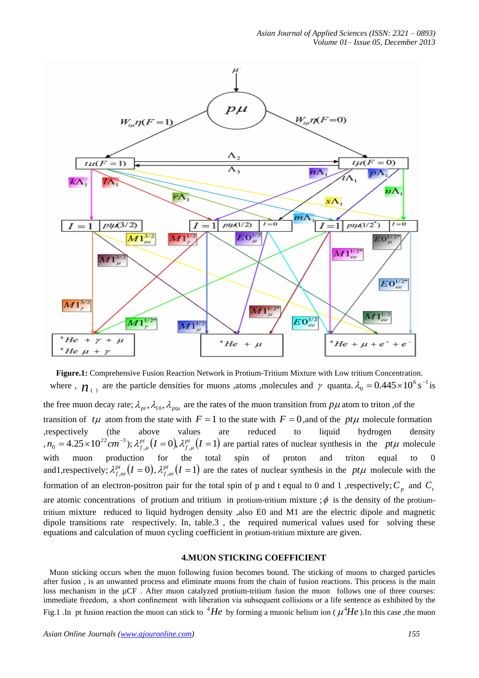

**Figure.1:** Comprehensive Fusion Reaction Network in Protium-Tritium Mixture with Low tritium Concentration. where  $\eta$ ,  $n_{(1)}$  are the particle densities for muons ,atoms ,molecules and  $\gamma$  quanta.  $\lambda_0 = 0.445 \times 10^6 s^{-1}$  is

the free muon decay rate;  $\lambda_{p}$ ,  $\lambda_{10}$ ,  $\lambda_{p}$  are the rates of the muon transition from  $p\mu$  atom to triton ,of the transition of  $t\mu$  atom from the state with  $F = 1$  to the state with  $F = 0$ , and of the  $pt\mu$  molecule formation ,respectively (the above values are reduced to liquid hydrogen density  $n_0 = 4.25 \times 10^{22}$  cm<sup>-3</sup>);  $\lambda_{f,\mu}^{pt}(I=0), \lambda_{f,\mu}^{pt}(I=1)$  $\lambda_{f,\mu}^{pt}(I=0), \lambda_{f,\mu}^{pt}(I=1)$  are partial rates of nuclear synthesis in the pt $\mu$  molecule with muon production for the total spin of proton and triton equal to 0 and1, respectively;  $\lambda_{f,ee}^{pt} (I = 0), \lambda_{f,ee}^{pt} (I = 1)$  are the rates of nuclear synthesis in the pt $\mu$  molecule with the formation of an electron-positron pair for the total spin of p and t equal to 0 and 1 , respectively;  $C_p$  and  $C_p$ are atomic concentrations of protium and tritium in protium-tritium mixture ;  $\phi$  is the density of the protiumtritium mixture reduced to liquid hydrogen density ,also E0 and M1 are the electric dipole and magnetic dipole transitions rate respectively. In, table.3 , the required numerical values used for solving these equations and calculation of muon cycling coefficient in protium-tritium mixture are given.

### **4.MUON STICKING COEFFICIENT**

 Muon sticking occurs when the muon following fusion becomes bound. The sticking of muons to charged particles after fusion , is an unwanted process and eliminate muons from the chain of fusion reactions. This process is the main loss mechanism in the µCF . After muon catalyzed protium-tritium fusion the muon follows one of three courses: immediate freedom, a short confinement with liberation via subsequent collisions or a life sentence as exhibited by the Fig.1 .In pt fusion reaction the muon can stick to  ${}^{4}He$  by forming a muonic helium ion ( $\mu^{4}He$ ).In this case ,the muon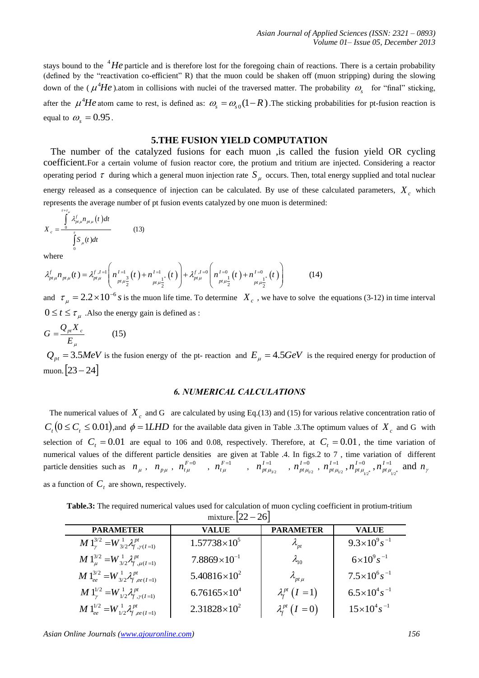stays bound to the  $4He$  particle and is therefore lost for the foregoing chain of reactions. There is a certain probability (defined by the "reactivation co-efficient" R) that the muon could be shaken off (muon stripping) during the slowing down of the ( $\mu^4$ *He*).atom in collisions with nuclei of the traversed matter. The probability  $\omega_s$  for "final" sticking, after the  $\mu^4$ *He* atom came to rest, is defined as:  $\omega_s = \omega_{s0}(1-R)$ . The sticking probabilities for pt-fusion reaction is equal to  $\omega_s = 0.95$ .

# **5.THE FUSION YIELD COMPUTATION**

 The number of the catalyzed fusions for each muon ,is called the fusion yield OR cycling coefficient.For a certain volume of fusion reactor core, the protium and tritium are injected. Considering a reactor operating period  $\tau$  during which a general muon injection rate  $S_\mu$  occurs. Then, total energy supplied and total nuclear

energy released as a consequence of injection can be calculated. By use of these calculated parameters,  $X_c$  which represents the average number of pt fusion events catalyzed by one muon is determined:

$$
X_c = \frac{\int\limits_{0}^{\tau + \tau_{\mu}} \lambda_{p\tau\mu}^f n_{p\tau\mu}(t) dt}{\int\limits_{0}^{\tau} S_{\mu}(t) dt}
$$
(13)

where

where  
\n
$$
\int_{0}^{t} S_{\mu}(t) dt
$$
\nwhere  
\n
$$
\lambda_{pt\mu}^{f} n_{pt\mu}(t) = \lambda_{pt\mu}^{f, I=1} \left( n_{pt\mu \frac{3}{2}}^{I=1} (t) + n_{pt\mu \frac{1}{2}}^{I=1} (t) \right) + \lambda_{pt\mu}^{f, I=0} \left( n_{pt\mu \frac{1}{2}}^{I=0} (t) + n_{pt\mu \frac{1}{2}}^{I=0} (t) \right)
$$
\n(14)

and  $\tau_{\mu} = 2.2 \times 10^{-6} s$  is the muon life time. To determine  $X_c$ , we have to solve the equations (3-12) in time interval  $0 \le t \le \tau_{\mu}$ . Also the energy gain is defined as :

$$
G = \frac{Q_{\mu} X_c}{E_{\mu}} \tag{15}
$$

 $Q_{pt} = 3.5 MeV$  is the fusion energy of the pt- reaction and  $E_{\mu} = 4.5 GeV$  is the required energy for production of muon.  $[23 - 24]$ 

# *6. NUMERICAL CALCULATIONS*

The numerical values of  $X_c$  and G are calculated by using Eq.(13) and (15) for various relative concentration ratio of  $C_t$   $(0 \le C_t \le 0.01)$ , and  $\phi = 1LHD$  for the available data given in Table .3. The optimum values of  $X_c$  and G with selection of  $C_t = 0.01$  are equal to 106 and 0.08, respectively. Therefore, at  $C_t = 0.01$ , the time variation of numerical values of the different particle densities are given at Table .4. In figs.2 to 7 , time variation of different particle densities such as  $n_{\mu}$ ,  $n_{p\mu}$ ,  $n_{t\mu}^{F=0}$ ,  $n_{t\mu}^{F=1}$ ,  $n_{pt\mu_{3/2}}^{I=1}$  $n^{I=1}_{pt\,\mu_{3/2}}$  ,  $n^{I=0}_{pt\,\mu_{1/2}}$  $n_{_{pt}\mu _{_{l/2}}}^{I=0}$  ,  $n_{_{pt}\mu _{_{l/2}}}^{I=1}$  $n^{I=1}_{p_{t}\mu_{_{l/2}}}$  ,  $n^{I=0}_{p_{t}\mu_{_{l/2}\overset{\circ}{}}{}^{*}}$  $n^{I=0}_{_{pt}\mu_{_{1/2}^*}}, n^{I=1}_{_{pt}\mu_{_{1/2}^*}}$  $n_{pt\mu_{\alpha^*}}^{I=1}$  and  $n_{\gamma}$ 

as a function of  $C<sub>t</sub>$  are shown, respectively.

**Table.3:** The required numerical values used for calculation of muon cycling coefficient in protium-tritium mixture.  $\left[22 - 26\right]$ 

| <b>PARAMETER</b>                                           | <b>VALUE</b>          | <b>PARAMETER</b>           | <b>VALUE</b>               |  |  |  |  |  |
|------------------------------------------------------------|-----------------------|----------------------------|----------------------------|--|--|--|--|--|
| $M1_{\nu}^{3/2} = W_{3/2}^1 \lambda_f^{pt}$                | $1.57738\times10^{5}$ | $\lambda_{pt}$             | $9.3\times10^{9} s^{-1}$   |  |  |  |  |  |
| $M1_{\mu}^{3/2} = W_{3/2}^1 \lambda_{f,\mu(I=1)}^{pt}$     | $7.8869\times10^{-1}$ | $\lambda_{10}$             | $6\times10^{9} s^{-1}$     |  |  |  |  |  |
| $M1_{ee}^{3/2} = W_{3/2}^1 \lambda_{f,ee(I=1)}^{pt}$       | $5.40816\times10^{2}$ | $\lambda_{pt\,\mu}$        | $7.5 \times 10^6 s^{-1}$   |  |  |  |  |  |
| $M 1_{\nu}^{1/2} = W_{1/2}^1 \lambda_{f,\gamma(I=1)}^{pt}$ | $6.76165\times10^{4}$ | $\lambda_f^{pt}$ $(I = 1)$ | $6.5 \times 10^{4} s^{-1}$ |  |  |  |  |  |
| $M1_{ee}^{1/2} = W_{1/2}^1 \lambda_{f,ee(I=1)}^{pt}$       | $2.31828\times10^{2}$ | $\lambda_f^{pt}$ $(I = 0)$ | $15\times10^4 s^{-1}$      |  |  |  |  |  |

*Asian Online Journals (www.ajouronline.com) 156*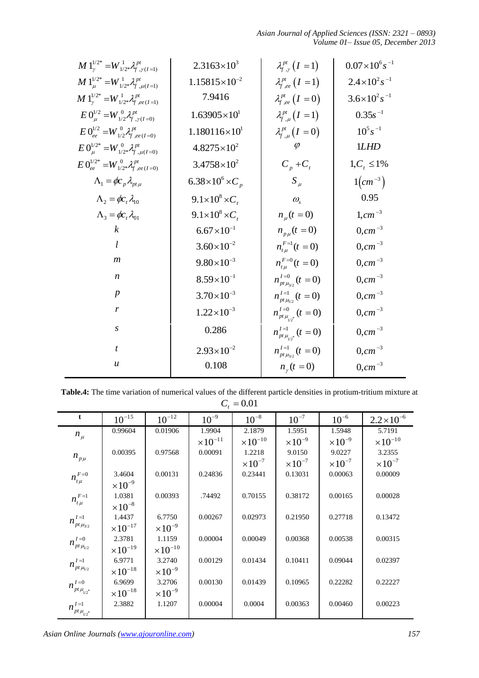*Asian Journal of Applied Sciences (ISSN: 2321 – 0893) Volume 01– Issue 05, December 2013*

| $M1_{\nu}^{1/2*} = W_{1/2*}^1 \lambda_f^{pt}$                 |                                             |                             | $2.3163\times10^{3}$                                                                                              |                             | $\lambda_{f,y}^{pt}(I=1)$                  |  |                                 | $0.07\times10^{6} s^{-1}$                |
|---------------------------------------------------------------|---------------------------------------------|-----------------------------|-------------------------------------------------------------------------------------------------------------------|-----------------------------|--------------------------------------------|--|---------------------------------|------------------------------------------|
| $M1_{\mu}^{1/2*} = W_{1/2*}^1 \lambda_f^{pt}$                 |                                             |                             | $1.15815\times10^{-2}$                                                                                            |                             | $\lambda_{f,ee}^{pt}$ $(I = 1)$            |  | $2.4 \times 10^2 s^{-1}$        |                                          |
| $M1_{\nu}^{1/2*} = W_{1/2*}^1 \lambda_{f,ee(I=1)}^{pt}$       |                                             |                             | 7.9416                                                                                                            |                             | $\lambda_{f,ee}^{pt}$ $(I=0)$              |  | $3.6 \times 10^{2} s^{-1}$      |                                          |
| $E 0^{1/2}_{\mu} = W^{0}_{1/2} \lambda^{pt}_{f, \gamma(I=0)}$ |                                             |                             | $1.63905\times10^{1}$                                                                                             |                             | $\lambda_{f,\mu}^{pt}(I=1)$                |  | $0.35s^{-1}$                    |                                          |
| $E 0^{1/2}_{ee} = W^{0}_{1/2} \lambda^{pt}_{f,ee(I=0)}$       |                                             |                             | $1.180116\times10^{1}$                                                                                            |                             | $\lambda_{f,\mu}^{pt}(I=0)$                |  |                                 | $10^5 s^{-1}$                            |
|                                                               |                                             |                             |                                                                                                                   |                             | $\varphi$                                  |  | 1LHD                            |                                          |
| $E 0^{1/2*}_{\mu} = W^{0}_{1/2*} \lambda^{pt}_{f,\mu(I=0)}$   |                                             |                             | $4.8275\times10^{2}$                                                                                              |                             |                                            |  |                                 |                                          |
| $E 0_{ee}^{1/2*} = W_{1/2*}^0 \lambda_{f,ee(I=0)}^{pt}$       |                                             |                             | $3.4758\times10^{2}$                                                                                              |                             | $C_p + C_t$                                |  | $1, C_t \leq 1\%$               |                                          |
|                                                               | $\Lambda_1 = \phi c_{p} \lambda_{pt\mu}$    |                             | $6.38\times10^{6}\times C_{p}$                                                                                    |                             | $S_{\mu}$                                  |  | $1$ ( <i>cm</i> <sup>-3</sup> ) |                                          |
|                                                               | $\Lambda_2 = \phi c_t \lambda_{10}$         |                             | $9.1\times10^8\times C_t$                                                                                         |                             | $\omega_{\rm s}$                           |  | 0.95                            |                                          |
|                                                               | $\Lambda_{3} = \phi c_{\iota} \lambda_{01}$ |                             | $9.1\times10^8\times C_t$                                                                                         |                             | $n_{u}(t=0)$                               |  | $1, cm^{-3}$                    |                                          |
|                                                               | $\boldsymbol{k}$                            |                             | $6.67\times10^{-1}$                                                                                               |                             | $n_{p\mu}(t=0)$                            |  |                                 | $0, cm^{-3}$                             |
|                                                               | l                                           |                             | $3.60\times10^{-2}$                                                                                               |                             | $n_{tu}^{F=1}(t=0)$                        |  |                                 | $0, cm^{-3}$                             |
|                                                               | $\boldsymbol{m}$                            |                             | $9.80\times10^{-3}$                                                                                               |                             | $n_{tu}^{F=0}(t=0)$                        |  | $0, cm^{-3}$                    |                                          |
| $\boldsymbol{n}$                                              |                                             |                             | $8.59\times10^{-1}$                                                                                               |                             | $n_{pt\mu_{2}}^{I=0}(t=0)$                 |  | $0, cm^{-3}$                    |                                          |
|                                                               | $\boldsymbol{p}$                            |                             | $3.70\times10^{-3}$                                                                                               |                             |                                            |  |                                 |                                          |
|                                                               |                                             |                             |                                                                                                                   |                             | $n_{pt\mu_{1/2}}^{I=1}(t=0)$               |  | $0, cm^{-3}$                    |                                          |
| r                                                             |                                             |                             | $1.22 \times 10^{-3}$                                                                                             |                             | $n_{pt\mu_{\nu\sigma^*}}^{I=0}(t=0)$       |  | $0, cm^{-3}$                    |                                          |
| $\boldsymbol{S}$                                              |                                             |                             | 0.286                                                                                                             |                             | $n_{pt\mu_{\nu\sigma^*}}^{I=1}(t=0)$       |  | $0, cm^{-3}$                    |                                          |
|                                                               |                                             |                             |                                                                                                                   |                             |                                            |  |                                 |                                          |
|                                                               | $\boldsymbol{t}$                            |                             | $2.93 \times 10^{-2}$                                                                                             |                             |                                            |  |                                 |                                          |
|                                                               | $\boldsymbol{u}$                            |                             | 0.108                                                                                                             |                             | $n_{pt\mu_{2}}^{I=1}(t=0)$<br>$n_{y}(t=0)$ |  |                                 | $0, cm^{-3}$<br>$0, cm^{-3}$             |
|                                                               |                                             |                             | Table.4: The time variation of numerical values of the different particle densities in protium-tritium mixture at |                             |                                            |  |                                 |                                          |
|                                                               |                                             |                             |                                                                                                                   | $C_t = 0.01$                |                                            |  |                                 |                                          |
| t                                                             | $10^{-15}\,$                                | $10^{-12}\,$                | $10^{-9}$                                                                                                         | $10^{-8}$                   | $10^{-7}$                                  |  | $10^{-6}$                       |                                          |
| $n_{\mu}$                                                     | 0.99604                                     | 0.01906                     | 1.9904                                                                                                            | 2.1879                      | 1.5951                                     |  | 1.5948                          | 5.7191                                   |
|                                                               | 0.00395                                     | 0.97568                     | $\times 10^{-11}$<br>0.00091                                                                                      | $\times 10^{-10}$<br>1.2218 | $\times 10^{-9}$<br>9.0150                 |  | $\times 10^{-9}$<br>9.0227      | 3.2355                                   |
| $n_{p\mu}$                                                    |                                             |                             |                                                                                                                   | $\times 10^{-7}$            | $\times 10^{-7}$                           |  | $\times 10^{-7}$                | $\times 10^{-7}$                         |
|                                                               | 3.4604                                      | 0.00131                     | 0.24836                                                                                                           | 0.23441                     | 0.13031                                    |  | 0.00063                         | 0.00009                                  |
| $n_{t\mu}^{F=0}$                                              | $\times 10^{-9}$                            |                             |                                                                                                                   |                             |                                            |  |                                 |                                          |
| $n^{F=1}_{t\mu}$                                              | 1.0381                                      | 0.00393                     | .74492                                                                                                            | 0.70155                     | 0.38172                                    |  | 0.00165                         | 0.00028                                  |
|                                                               | $\times 10^{-8}$                            |                             |                                                                                                                   |                             |                                            |  |                                 |                                          |
| $n_{_{pt}\mu_{3/2}}^{I=1}$                                    | 1.4437                                      | 6.7750                      | 0.00267                                                                                                           | 0.02973                     | 0.21950                                    |  | 0.27718                         | 0.13472                                  |
|                                                               | $\times 10^{-17}$                           | $\times 10^{-9}$            |                                                                                                                   |                             |                                            |  |                                 |                                          |
| $n_{_{pt}\mu_{l\prime2}}^{I=0}$                               | 2.3781                                      | 1.1159                      | 0.00004                                                                                                           | 0.00049                     | 0.00368                                    |  | 0.00538                         | 0.00315                                  |
|                                                               | $\times 10^{-19}$<br>6.9771                 | $\times 10^{-10}$<br>3.2740 | 0.00129                                                                                                           | 0.01434                     | 0.10411                                    |  | 0.09044                         | 0.02397                                  |
| $n^{I=\!1}_{pt\,\mu_{\!I/2}}$                                 |                                             |                             |                                                                                                                   |                             |                                            |  |                                 |                                          |
|                                                               | $\times 10^{-18}$<br>6.9699                 | $\times 10^{-9}$<br>3.2706  | 0.00130                                                                                                           | 0.01439                     | 0.10965                                    |  | 0.22282                         | 0.22227                                  |
| $n_{_{pt_{i_{12}^\ast}}}^{I=0}$                               | $\times 10^{-18}$                           | $\times 10^{-9}$            |                                                                                                                   |                             |                                            |  |                                 | $2.2 \times 10^{-6}$<br>$\times10^{-10}$ |
| $n^{I=1}_{pt\,\mu_{_{1/2}\raisebox{0.3pt}{\tiny \text{+}}}}$  | 2.3882                                      | 1.1207                      | 0.00004                                                                                                           | 0.0004                      | 0.00363                                    |  | 0.00460                         | 0.00223                                  |

**Table.4:** The time variation of numerical values of the different particle densities in protium-tritium mixture at  $C_t = 0.01$ 

| $\mathbf{t}$                    | $10^{-15}$        | $10^{-12}$        | $10^{-9}$         | $10^{-8}$         | $10^{-7}$        | $10^{-6}$        | $2.2 \times 10^{-6}$ |
|---------------------------------|-------------------|-------------------|-------------------|-------------------|------------------|------------------|----------------------|
| $n_{\mu}$                       | 0.99604           | 0.01906           | 1.9904            | 2.1879            | 1.5951           | 1.5948           | 5.7191               |
|                                 |                   |                   | $\times 10^{-11}$ | $\times 10^{-10}$ | $\times 10^{-9}$ | $\times 10^{-9}$ | $\times 10^{-10}$    |
| $n_{p\mu}$                      | 0.00395           | 0.97568           | 0.00091           | 1.2218            | 9.0150           | 9.0227           | 3.2355               |
|                                 |                   |                   |                   | $\times 10^{-7}$  | $\times 10^{-7}$ | $\times 10^{-7}$ | $\times 10^{-7}$     |
| $n^{F=0}_{_{t\mu}}$             | 3.4604            | 0.00131           | 0.24836           | 0.23441           | 0.13031          | 0.00063          | 0.00009              |
|                                 | $\times 10^{-9}$  |                   |                   |                   |                  |                  |                      |
| $n_{t\mu}^{F=1}$                | 1.0381            | 0.00393           | .74492            | 0.70155           | 0.38172          | 0.00165          | 0.00028              |
|                                 | $\times 10^{-8}$  |                   |                   |                   |                  |                  |                      |
| $n_{_{pt}\mu_{3/2}}^{I=1}$      | 1.4437            | 6.7750            | 0.00267           | 0.02973           | 0.21950          | 0.27718          | 0.13472              |
|                                 | $\times 10^{-17}$ | $\times 10^{-9}$  |                   |                   |                  |                  |                      |
| $n_{_{pt}\mu_{l2}}^{I=0}$       | 2.3781            | 1.1159            | 0.00004           | 0.00049           | 0.00368          | 0.00538          | 0.00315              |
|                                 | $\times 10^{-19}$ | $\times 10^{-10}$ |                   |                   |                  |                  |                      |
| $n^{I=1}_{pt\,\mu_{l/2}}$       | 6.9771            | 3.2740            | 0.00129           | 0.01434           | 0.10411          | 0.09044          | 0.02397              |
|                                 | $\times 10^{-18}$ | $\times 10^{-9}$  |                   |                   |                  |                  |                      |
| $n^{I=0}_{_{pt}\mu_{_{1/2}^*}}$ | 6.9699            | 3.2706            | 0.00130           | 0.01439           | 0.10965          | 0.22282          | 0.22227              |
|                                 | $\times 10^{-18}$ | $\times 10^{-9}$  |                   |                   |                  |                  |                      |
| $n^{I=1}_{pt\,\mu_{_{I2^*}}}$   | 2.3882            | 1.1207            | 0.00004           | 0.0004            | 0.00363          | 0.00460          | 0.00223              |
|                                 |                   |                   |                   |                   |                  |                  |                      |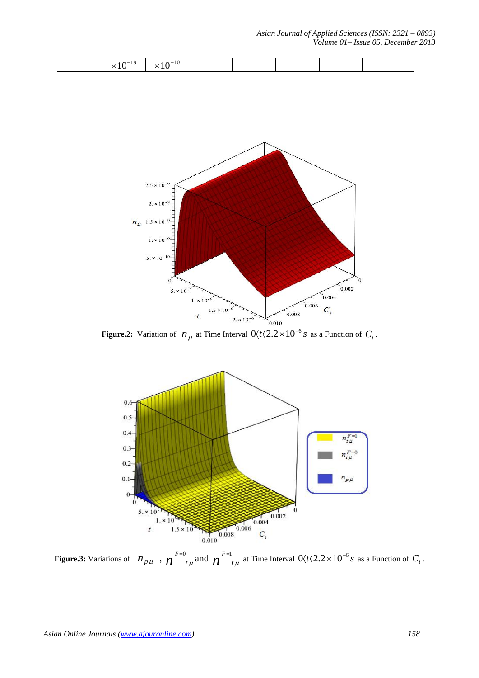

**Figure.2:** Variation of  $n_{\mu}$  at Time Interval  $0 \langle t \langle 2.2 \times 10^{-6} s \rangle$  as a Function of  $C_{\iota}$ .



**Figure.3:** Variations of  $n_{p\mu}$ ,  $n \int_{t\mu}^{F=0}$  and  $n \int_{t\mu}^{F=1}$  at Time Interval  $0/t \langle 2.2 \times 10^{-6} s$  as a Function of  $C_t$ .

*Asian Journal of Applied Sciences (ISSN: 2321 – 0893)*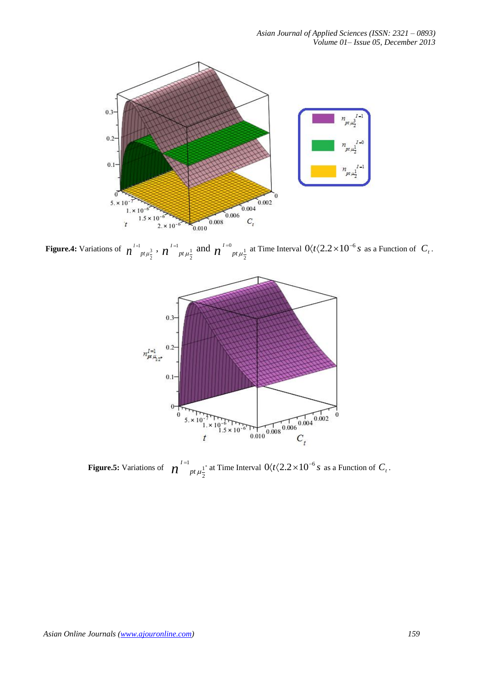

**Figure.4:** Variations of  $n^{1}$ <sup>1</sup> 2  $n^{\frac{I=1}{p_t}\mu \frac{3}{2}}$  ,  $n^{\frac{I=1}{p_t}\mu \frac{1}{2}}$ 2  $n^{I=1}$ <sub>pt  $\mu \frac{1}{2}$ </sub> and  $n^{I=0}$ <sub>pt  $\mu \frac{1}{2}$ </sub> 2  $\int_0^{t=0} p t \mu \frac{1}{2}$  at Time Interval  $0 \langle t \langle 2.2 \times 10^{-6} s \rangle$  as a Function of  $C_t$ .



**Figure.5:** Variations of  $n^{1}$ <sup>1</sup> 2  $\int_0^{t=1} p t \mu_{\overline{\lambda}}^{1^*}$  at Time Interval  $0 \langle t \langle 2.2 \times 10^{-6} s \rangle$  as a Function of  $C_t$ .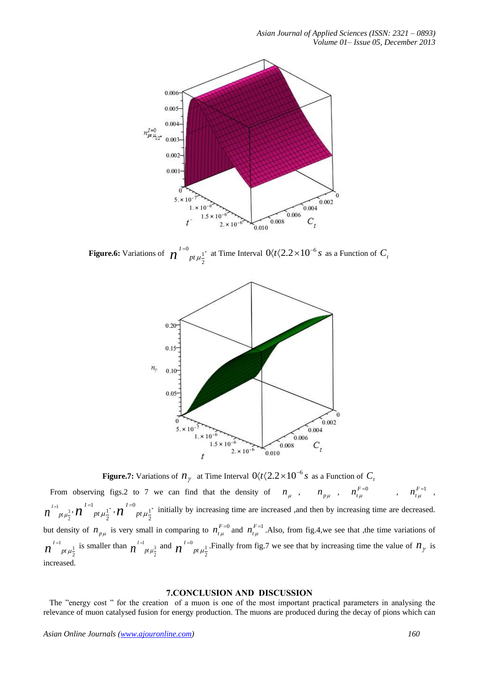

**Figure.6:** Variations of  $n^{1=0}$ 2  $\boldsymbol{n}^{I=0}$  *pt*  $\mu_{\overline{2}}^{\perp^*}$  at Time Interval  $0 \langle t \langle 2.2 \times 10^{-6} s \rangle$  as a Function of  $C_i$ 



**Figure.7:** Variations of  $n_{\gamma}$  at Time Interval  $0 \langle t \langle 2.2 \times 10^{-6} s \rangle$  as a Function of  $C_{\gamma}$ 

From observing figs.2 to 7 we can find that the density of  $n_{\mu}$ ,  $n_{p\mu}$ ,  $n_{t\mu}^{F=0}$ ,  $n_{t\mu}^{F=1}$ , 1 3 2  $n^{^{\phantom{I}I=1}}$   $_{pt\,\mu\frac{3}{2}}$  ,  $n^{^{\phantom{I}I=1}}$   $_{pt\,\mu\frac{1}{2}}$ 2  $\bm{n}^{I=1}_{\quad \ pt\, \mu \frac{1}{2}}$  ,  $\bm{n}^{I=0}_{\quad \ pt\, \mu \frac{1}{2}}$ 2  $\iota \mathcal{U}$ <sup> $I=0$ </sup>  $p \iota \mu_{\overline{2}}^{-1}$  initially by increasing time are increased ,and then by increasing time are decreased. but density of  $n_{p\mu}$  is very small in comparing to  $n_{t\mu}^{F=0}$  and  $n_{t\mu}^{F=1}$ . Also, from fig.4, we see that , the time variations of <sup>1</sup> <sub>nt u</sub><sup>1</sup> 2  $n^{I=1}$  *pt*  $\mu_{\overline{2}}^1$  is smaller than  $n^{I=1}$  *pt*  $\mu_{\overline{3}}^3$ 2  $n^{I=1}_{pt\mu_2^3}$  and  $n^{I=0}_{pt\mu_2^1}$ 2  $\eta^{I=0}_{I}$  *pt*  $\mu_{\overline{\lambda}}^1$ . Finally from fig.7 we see that by increasing time the value of  $n_\gamma$  is increased.

### **7.CONCLUSION AND DISCUSSION**

The "energy cost" for the creation of a muon is one of the most important practical parameters in analysing the relevance of muon catalysed fusion for energy production. The muons are produced during the decay of pions which can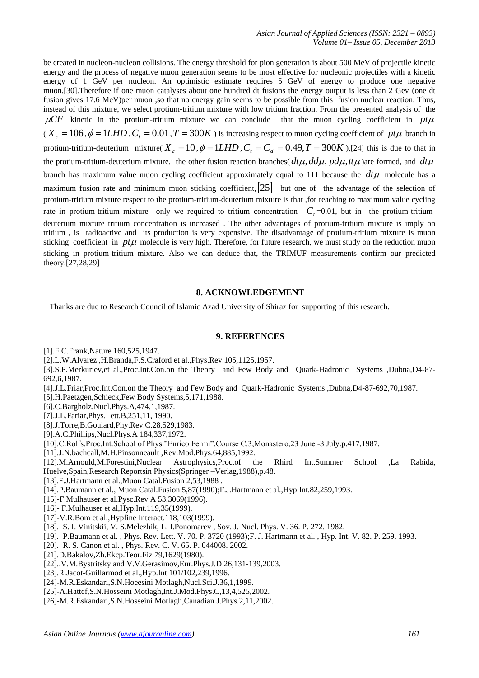be created in nucleon-nucleon collisions. The energy threshold for pion generation is about 500 MeV of projectile kinetic energy and the process of negative muon generation seems to be most effective for nucleonic projectiles with a kinetic energy of 1 GeV per nucleon. An optimistic estimate requires 5 GeV of energy to produce one negative muon.[30].Therefore if one muon catalyses about one hundred dt fusions the energy output is less than 2 Gev (one dt fusion gives 17.6 MeV)per muon ,so that no energy gain seems to be possible from this fusion nuclear reaction. Thus, instead of this mixture, we select protium-tritium mixture with low tritium fraction. From the presented analysis of the  $\mu$ CF kinetic in the protium-tritium mixture we can conclude that the muon cycling coefficient in  $pt\mu$  $(X_c = 106, \phi = 1LHD, C<sub>t</sub> = 0.01, T = 300K)$  is increasing respect to muon cycling coefficient of pt $\mu$  branch in protium-tritium-deuterium mixture( $X_c = 10$ ,  $\phi = 1LHD$ ,  $C_t = C_d = 0.49$ ,  $T = 300K$ ),[24] this is due to that in the protium-tritium-deuterium mixture, the other fusion reaction branches( $dt\mu$ ,  $dd\mu$ ,  $pd\mu$ ,  $tt\mu$ ) are formed, and  $dt\mu$ branch has maximum value muon cycling coefficient approximately equal to 111 because the *dt* molecule has a maximum fusion rate and minimum muon sticking coefficient,  $|25|$  but one of the advantage of the selection of protium-tritium mixture respect to the protium-tritium-deuterium mixture is that ,for reaching to maximum value cycling rate in protium-tritium mixture only we required to tritium concentration  $C<sub>t</sub> = 0.01$ , but in the protium-tritiumdeuterium mixture tritium concentration is increased . The other advantages of protium-tritium mixture is imply on tritium , is radioactive and its production is very expensive. The disadvantage of protium-tritium mixture is muon sticking coefficient in  $pt\mu$  molecule is very high. Therefore, for future research, we must study on the reduction muon sticking in protium-tritium mixture. Also we can deduce that, the TRIMUF measurements confirm our predicted theory.[27,28,29]

### **8. ACKNOWLEDGEMENT**

Thanks are due to Research Council of Islamic Azad University of Shiraz for supporting of this research.

#### **9. REFERENCES**

[1].F.C.Frank,Nature 160,525,1947.

[2].L.W.Alvarez ,H.Branda,F.S.Craford et al.,Phys.Rev.105,1125,1957.

[3].S.P.Merkuriev,et al.,Proc.Int.Con.on the Theory and Few Body and Quark-Hadronic Systems ,Dubna,D4-87- 692,6,1987.

[4].J.L.Friar,Proc.Int.Con.on the Theory and Few Body and Quark-Hadronic Systems ,Dubna,D4-87-692,70,1987.

[5].H.Paetzgen,Schieck,Few Body Systems,5,171,1988.

- [6].C.Bargholz,Nucl.Phys.A,474,1,1987.
- [7].J.L.Fariar,Phys.Lett.B,251,11, 1990.
- [8].J.Torre,B.Goulard,Phy.Rev.C.28,529,1983.
- [9].A.C.Phillips,Nucl.Phys.A 184,337,1972.
- [10].C.Rolfs,Proc.Int.School of Phys."Enrico Fermi",Course C.3,Monastero,23 June -3 July.p.417,1987.
- [11].J.N.bachcall,M.H.Pinsonneault ,Rev.Mod.Phys.64,885,1992.
- [12].M.Arnould,M.Forestini,Nuclear Astrophysics,Proc.of the Rhird Int.Summer School ,La Rabida, Huelve,Spain,Research Reportsin Physics(Springer –Verlag,1988),p.48.
- [13].F.J.Hartmann et al.,Muon Catal.Fusion 2,53,1988 .
- [14].P.Baumann et al., Muon Catal.Fusion 5,87(1990);F.J.Hartmann et al.,Hyp.Int.82,259,1993.
- [15]-F.Mulhauser et al.Pysc.Rev A 53,3069(1996).
- [16]- F.Mulhauser et al,Hyp.Int.119,35(1999).
- [17]-V.R.Bom et al., Hypfine Interact. 118, 103(1999).
- [18]. S. I. Vinitskii, V. S.Melezhik, L. I.Ponomarev , Sov. J. Nucl. Phys. V. 36. P. 272. 1982.
- [19]. P.Baumann et al. , Phys. Rev. Lett. V. 70. P. 3720 (1993);F. J. Hartmann et al. , Hyp. Int. V. 82. P. 259. 1993.
- [20]. R. S. Canon et al. , Phys. Rev. C. V. 65. P. 044008. 2002.
- [21].D.Bakalov,Zh.Ekcp.Teor.Fiz 79,1629(1980).
- [22]..V.M.Bystritsky and V.V.Gerasimov,Eur.Phys.J.D 26,131-139,2003.
- [23].R.Jacot-Guillarmod et al.,Hyp.Int 101/102,239,1996.
- [24]-M.R.Eskandari,S.N.Hoeesini Motlagh,Nucl.Sci.J.36,1,1999.
- [25]-A.Hattef,S.N.Hosseini Motlagh,Int.J.Mod.Phys.C,13,4,525,2002.
- [26]-M.R.Eskandari,S.N.Hosseini Motlagh,Canadian J.Phys.2,11,2002.